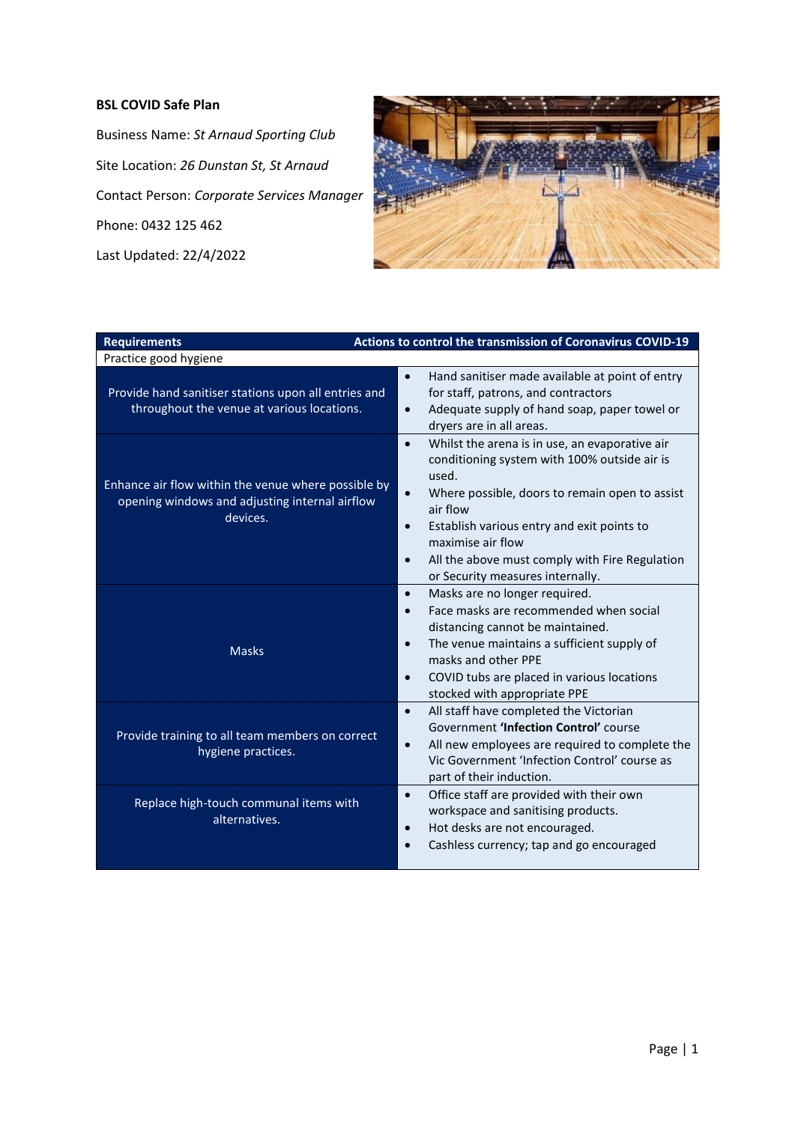## **BSL COVID Safe Plan**

Business Name: *St Arnaud Sporting Club* Site Location: *26 Dunstan St, St Arnaud* Contact Person: *Corporate Services Manager* Phone: 0432 125 462 Last Updated: 22/4/2022



| <b>Requirements</b>                                                                                               | Actions to control the transmission of Coronavirus COVID-19                                                                                                                                                                                                                                                                                                                        |
|-------------------------------------------------------------------------------------------------------------------|------------------------------------------------------------------------------------------------------------------------------------------------------------------------------------------------------------------------------------------------------------------------------------------------------------------------------------------------------------------------------------|
| Practice good hygiene                                                                                             |                                                                                                                                                                                                                                                                                                                                                                                    |
| Provide hand sanitiser stations upon all entries and<br>throughout the venue at various locations.                | Hand sanitiser made available at point of entry<br>$\bullet$<br>for staff, patrons, and contractors<br>Adequate supply of hand soap, paper towel or<br>$\bullet$<br>dryers are in all areas.                                                                                                                                                                                       |
| Enhance air flow within the venue where possible by<br>opening windows and adjusting internal airflow<br>devices. | Whilst the arena is in use, an evaporative air<br>$\bullet$<br>conditioning system with 100% outside air is<br>used.<br>Where possible, doors to remain open to assist<br>$\bullet$<br>air flow<br>Establish various entry and exit points to<br>$\bullet$<br>maximise air flow<br>All the above must comply with Fire Regulation<br>$\bullet$<br>or Security measures internally. |
| <b>Masks</b>                                                                                                      | Masks are no longer required.<br>$\bullet$<br>Face masks are recommended when social<br>distancing cannot be maintained.<br>The venue maintains a sufficient supply of<br>$\bullet$<br>masks and other PPE<br>COVID tubs are placed in various locations<br>$\bullet$<br>stocked with appropriate PPE                                                                              |
| Provide training to all team members on correct<br>hygiene practices.                                             | All staff have completed the Victorian<br>$\bullet$<br>Government 'Infection Control' course<br>All new employees are required to complete the<br>$\bullet$<br>Vic Government 'Infection Control' course as<br>part of their induction.                                                                                                                                            |
| Replace high-touch communal items with<br>alternatives.                                                           | Office staff are provided with their own<br>$\bullet$<br>workspace and sanitising products.<br>Hot desks are not encouraged.<br>$\bullet$<br>Cashless currency; tap and go encouraged                                                                                                                                                                                              |